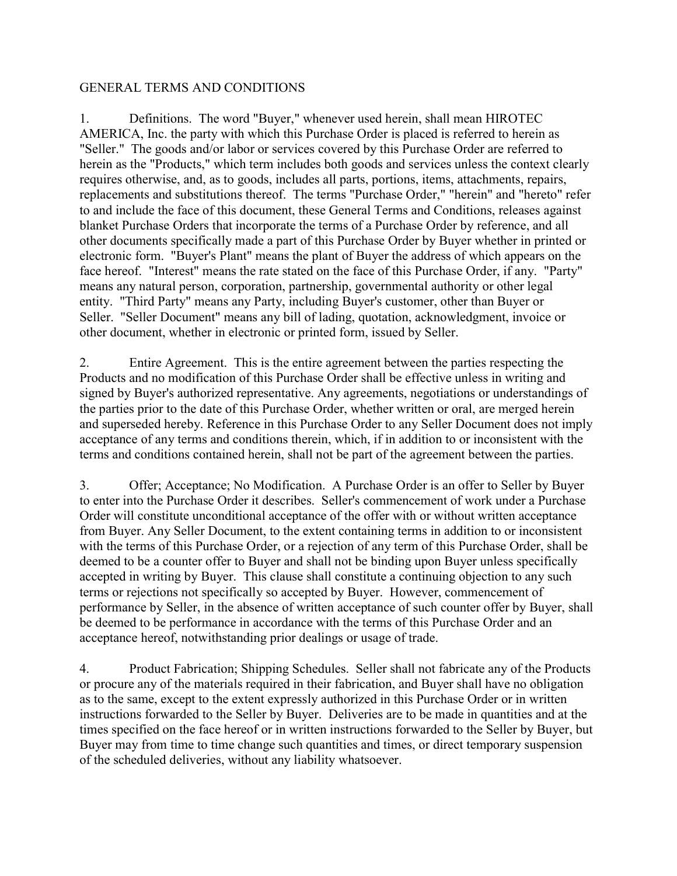#### GENERAL TERMS AND CONDITIONS

1. Definitions. The word "Buyer," whenever used herein, shall mean HIROTEC AMERICA, Inc. the party with which this Purchase Order is placed is referred to herein as "Seller." The goods and/or labor or services covered by this Purchase Order are referred to herein as the "Products," which term includes both goods and services unless the context clearly requires otherwise, and, as to goods, includes all parts, portions, items, attachments, repairs, replacements and substitutions thereof. The terms "Purchase Order," "herein" and "hereto" refer to and include the face of this document, these General Terms and Conditions, releases against blanket Purchase Orders that incorporate the terms of a Purchase Order by reference, and all other documents specifically made a part of this Purchase Order by Buyer whether in printed or electronic form. "Buyer's Plant" means the plant of Buyer the address of which appears on the face hereof. "Interest" means the rate stated on the face of this Purchase Order, if any. "Party" means any natural person, corporation, partnership, governmental authority or other legal entity. "Third Party" means any Party, including Buyer's customer, other than Buyer or Seller. "Seller Document" means any bill of lading, quotation, acknowledgment, invoice or other document, whether in electronic or printed form, issued by Seller.

2. Entire Agreement. This is the entire agreement between the parties respecting the Products and no modification of this Purchase Order shall be effective unless in writing and signed by Buyer's authorized representative. Any agreements, negotiations or understandings of the parties prior to the date of this Purchase Order, whether written or oral, are merged herein and superseded hereby. Reference in this Purchase Order to any Seller Document does not imply acceptance of any terms and conditions therein, which, if in addition to or inconsistent with the terms and conditions contained herein, shall not be part of the agreement between the parties.

3. Offer; Acceptance; No Modification. A Purchase Order is an offer to Seller by Buyer to enter into the Purchase Order it describes. Seller's commencement of work under a Purchase Order will constitute unconditional acceptance of the offer with or without written acceptance from Buyer. Any Seller Document, to the extent containing terms in addition to or inconsistent with the terms of this Purchase Order, or a rejection of any term of this Purchase Order, shall be deemed to be a counter offer to Buyer and shall not be binding upon Buyer unless specifically accepted in writing by Buyer. This clause shall constitute a continuing objection to any such terms or rejections not specifically so accepted by Buyer. However, commencement of performance by Seller, in the absence of written acceptance of such counter offer by Buyer, shall be deemed to be performance in accordance with the terms of this Purchase Order and an acceptance hereof, notwithstanding prior dealings or usage of trade.

4. Product Fabrication; Shipping Schedules. Seller shall not fabricate any of the Products or procure any of the materials required in their fabrication, and Buyer shall have no obligation as to the same, except to the extent expressly authorized in this Purchase Order or in written instructions forwarded to the Seller by Buyer. Deliveries are to be made in quantities and at the times specified on the face hereof or in written instructions forwarded to the Seller by Buyer, but Buyer may from time to time change such quantities and times, or direct temporary suspension of the scheduled deliveries, without any liability whatsoever.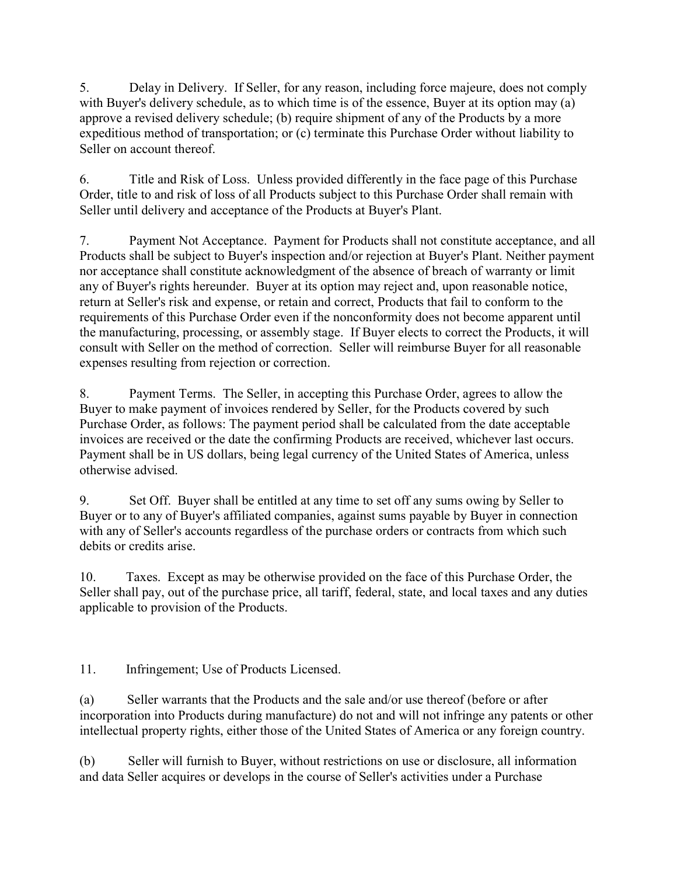5. Delay in Delivery. If Seller, for any reason, including force majeure, does not comply with Buyer's delivery schedule, as to which time is of the essence, Buyer at its option may (a) approve a revised delivery schedule; (b) require shipment of any of the Products by a more expeditious method of transportation; or (c) terminate this Purchase Order without liability to Seller on account thereof.

6. Title and Risk of Loss. Unless provided differently in the face page of this Purchase Order, title to and risk of loss of all Products subject to this Purchase Order shall remain with Seller until delivery and acceptance of the Products at Buyer's Plant.

7. Payment Not Acceptance. Payment for Products shall not constitute acceptance, and all Products shall be subject to Buyer's inspection and/or rejection at Buyer's Plant. Neither payment nor acceptance shall constitute acknowledgment of the absence of breach of warranty or limit any of Buyer's rights hereunder. Buyer at its option may reject and, upon reasonable notice, return at Seller's risk and expense, or retain and correct, Products that fail to conform to the requirements of this Purchase Order even if the nonconformity does not become apparent until the manufacturing, processing, or assembly stage. If Buyer elects to correct the Products, it will consult with Seller on the method of correction. Seller will reimburse Buyer for all reasonable expenses resulting from rejection or correction.

8. Payment Terms. The Seller, in accepting this Purchase Order, agrees to allow the Buyer to make payment of invoices rendered by Seller, for the Products covered by such Purchase Order, as follows: The payment period shall be calculated from the date acceptable invoices are received or the date the confirming Products are received, whichever last occurs. Payment shall be in US dollars, being legal currency of the United States of America, unless otherwise advised.

9. Set Off. Buyer shall be entitled at any time to set off any sums owing by Seller to Buyer or to any of Buyer's affiliated companies, against sums payable by Buyer in connection with any of Seller's accounts regardless of the purchase orders or contracts from which such debits or credits arise.

10. Taxes. Except as may be otherwise provided on the face of this Purchase Order, the Seller shall pay, out of the purchase price, all tariff, federal, state, and local taxes and any duties applicable to provision of the Products.

11. Infringement; Use of Products Licensed.

(a) Seller warrants that the Products and the sale and/or use thereof (before or after incorporation into Products during manufacture) do not and will not infringe any patents or other intellectual property rights, either those of the United States of America or any foreign country.

(b) Seller will furnish to Buyer, without restrictions on use or disclosure, all information and data Seller acquires or develops in the course of Seller's activities under a Purchase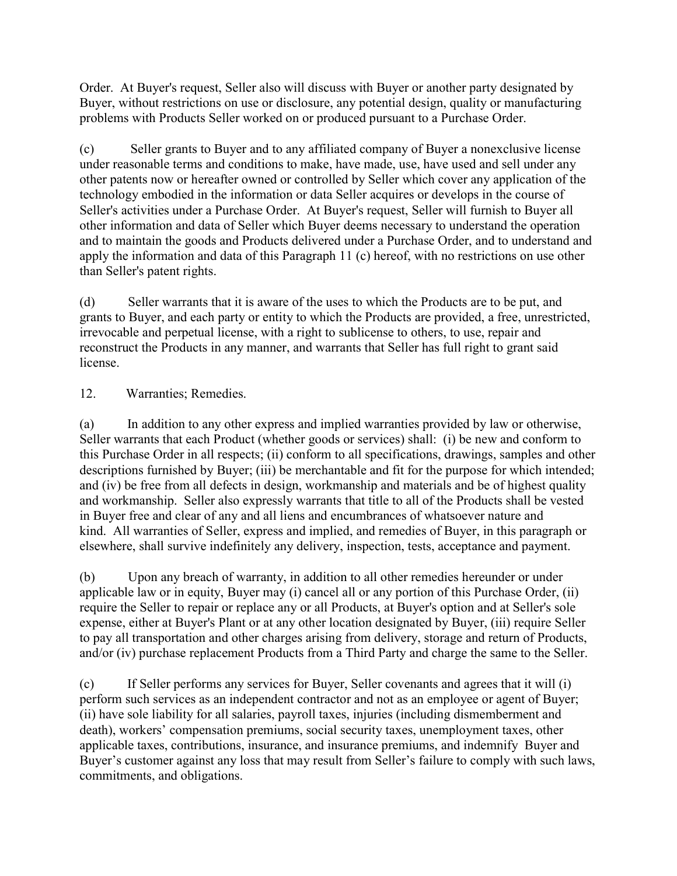Order. At Buyer's request, Seller also will discuss with Buyer or another party designated by Buyer, without restrictions on use or disclosure, any potential design, quality or manufacturing problems with Products Seller worked on or produced pursuant to a Purchase Order.

(c) Seller grants to Buyer and to any affiliated company of Buyer a nonexclusive license under reasonable terms and conditions to make, have made, use, have used and sell under any other patents now or hereafter owned or controlled by Seller which cover any application of the technology embodied in the information or data Seller acquires or develops in the course of Seller's activities under a Purchase Order. At Buyer's request, Seller will furnish to Buyer all other information and data of Seller which Buyer deems necessary to understand the operation and to maintain the goods and Products delivered under a Purchase Order, and to understand and apply the information and data of this Paragraph 11 (c) hereof, with no restrictions on use other than Seller's patent rights.

(d) Seller warrants that it is aware of the uses to which the Products are to be put, and grants to Buyer, and each party or entity to which the Products are provided, a free, unrestricted, irrevocable and perpetual license, with a right to sublicense to others, to use, repair and reconstruct the Products in any manner, and warrants that Seller has full right to grant said license.

### 12. Warranties; Remedies.

(a) In addition to any other express and implied warranties provided by law or otherwise, Seller warrants that each Product (whether goods or services) shall: (i) be new and conform to this Purchase Order in all respects; (ii) conform to all specifications, drawings, samples and other descriptions furnished by Buyer; (iii) be merchantable and fit for the purpose for which intended; and (iv) be free from all defects in design, workmanship and materials and be of highest quality and workmanship. Seller also expressly warrants that title to all of the Products shall be vested in Buyer free and clear of any and all liens and encumbrances of whatsoever nature and kind. All warranties of Seller, express and implied, and remedies of Buyer, in this paragraph or elsewhere, shall survive indefinitely any delivery, inspection, tests, acceptance and payment.

(b) Upon any breach of warranty, in addition to all other remedies hereunder or under applicable law or in equity, Buyer may (i) cancel all or any portion of this Purchase Order, (ii) require the Seller to repair or replace any or all Products, at Buyer's option and at Seller's sole expense, either at Buyer's Plant or at any other location designated by Buyer, (iii) require Seller to pay all transportation and other charges arising from delivery, storage and return of Products, and/or (iv) purchase replacement Products from a Third Party and charge the same to the Seller.

(c) If Seller performs any services for Buyer, Seller covenants and agrees that it will (i) perform such services as an independent contractor and not as an employee or agent of Buyer; (ii) have sole liability for all salaries, payroll taxes, injuries (including dismemberment and death), workers' compensation premiums, social security taxes, unemployment taxes, other applicable taxes, contributions, insurance, and insurance premiums, and indemnify Buyer and Buyer's customer against any loss that may result from Seller's failure to comply with such laws, commitments, and obligations.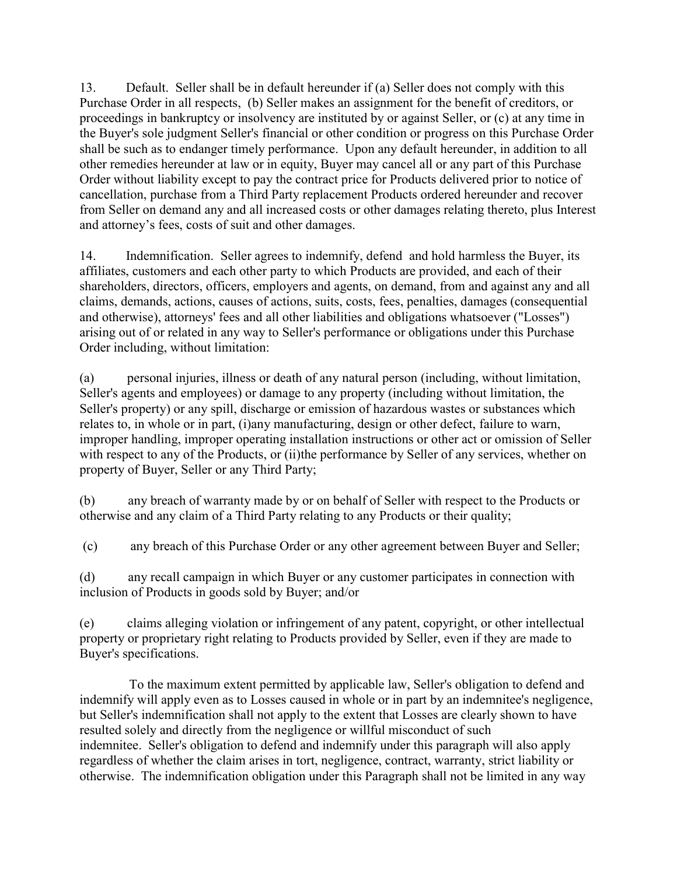13. Default. Seller shall be in default hereunder if (a) Seller does not comply with this Purchase Order in all respects, (b) Seller makes an assignment for the benefit of creditors, or proceedings in bankruptcy or insolvency are instituted by or against Seller, or (c) at any time in the Buyer's sole judgment Seller's financial or other condition or progress on this Purchase Order shall be such as to endanger timely performance. Upon any default hereunder, in addition to all other remedies hereunder at law or in equity, Buyer may cancel all or any part of this Purchase Order without liability except to pay the contract price for Products delivered prior to notice of cancellation, purchase from a Third Party replacement Products ordered hereunder and recover from Seller on demand any and all increased costs or other damages relating thereto, plus Interest and attorney's fees, costs of suit and other damages.

14. Indemnification. Seller agrees to indemnify, defend and hold harmless the Buyer, its affiliates, customers and each other party to which Products are provided, and each of their shareholders, directors, officers, employers and agents, on demand, from and against any and all claims, demands, actions, causes of actions, suits, costs, fees, penalties, damages (consequential and otherwise), attorneys' fees and all other liabilities and obligations whatsoever ("Losses") arising out of or related in any way to Seller's performance or obligations under this Purchase Order including, without limitation:

(a) personal injuries, illness or death of any natural person (including, without limitation, Seller's agents and employees) or damage to any property (including without limitation, the Seller's property) or any spill, discharge or emission of hazardous wastes or substances which relates to, in whole or in part, (i)any manufacturing, design or other defect, failure to warn, improper handling, improper operating installation instructions or other act or omission of Seller with respect to any of the Products, or (ii)the performance by Seller of any services, whether on property of Buyer, Seller or any Third Party;

(b) any breach of warranty made by or on behalf of Seller with respect to the Products or otherwise and any claim of a Third Party relating to any Products or their quality;

(c) any breach of this Purchase Order or any other agreement between Buyer and Seller;

(d) any recall campaign in which Buyer or any customer participates in connection with inclusion of Products in goods sold by Buyer; and/or

(e) claims alleging violation or infringement of any patent, copyright, or other intellectual property or proprietary right relating to Products provided by Seller, even if they are made to Buyer's specifications.

 To the maximum extent permitted by applicable law, Seller's obligation to defend and indemnify will apply even as to Losses caused in whole or in part by an indemnitee's negligence, but Seller's indemnification shall not apply to the extent that Losses are clearly shown to have resulted solely and directly from the negligence or willful misconduct of such indemnitee. Seller's obligation to defend and indemnify under this paragraph will also apply regardless of whether the claim arises in tort, negligence, contract, warranty, strict liability or otherwise. The indemnification obligation under this Paragraph shall not be limited in any way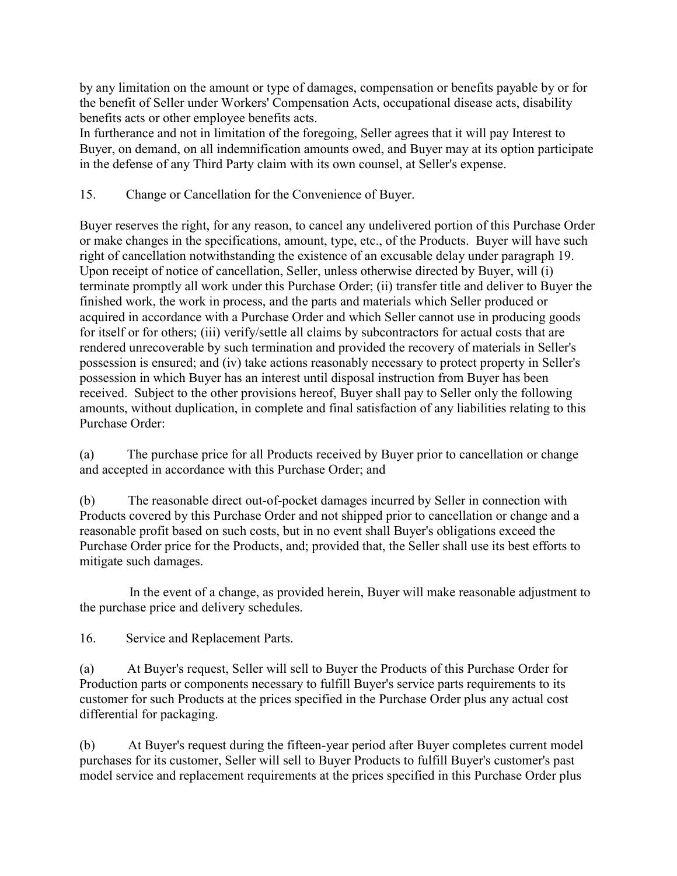by any limitation on the amount or type of damages, compensation or benefits payable by or for the benefit of Seller under Workers' Compensation Acts, occupational disease acts, disability benefits acts or other employee benefits acts.

In furtherance and not in limitation of the foregoing, Seller agrees that it will pay Interest to Buyer, on demand, on all indemnification amounts owed, and Buyer may at its option participate in the defense of any Third Party claim with its own counsel, at Seller's expense.

15. Change or Cancellation for the Convenience of Buyer.

Buyer reserves the right, for any reason, to cancel any undelivered portion of this Purchase Order or make changes in the specifications, amount, type, etc., of the Products. Buyer will have such right of cancellation notwithstanding the existence of an excusable delay under paragraph 19. Upon receipt of notice of cancellation, Seller, unless otherwise directed by Buyer, will (i) terminate promptly all work under this Purchase Order; (ii) transfer title and deliver to Buyer the finished work, the work in process, and the parts and materials which Seller produced or acquired in accordance with a Purchase Order and which Seller cannot use in producing goods for itself or for others; (iii) verify/settle all claims by subcontractors for actual costs that are rendered unrecoverable by such termination and provided the recovery of materials in Seller's possession is ensured; and (iv) take actions reasonably necessary to protect property in Seller's possession in which Buyer has an interest until disposal instruction from Buyer has been received. Subject to the other provisions hereof, Buyer shall pay to Seller only the following amounts, without duplication, in complete and final satisfaction of any liabilities relating to this Purchase Order:

(a) The purchase price for all Products received by Buyer prior to cancellation or change and accepted in accordance with this Purchase Order; and

(b) The reasonable direct out-of-pocket damages incurred by Seller in connection with Products covered by this Purchase Order and not shipped prior to cancellation or change and a reasonable profit based on such costs, but in no event shall Buyer's obligations exceed the Purchase Order price for the Products, and; provided that, the Seller shall use its best efforts to mitigate such damages.

 In the event of a change, as provided herein, Buyer will make reasonable adjustment to the purchase price and delivery schedules.

16. Service and Replacement Parts.

(a) At Buyer's request, Seller will sell to Buyer the Products of this Purchase Order for Production parts or components necessary to fulfill Buyer's service parts requirements to its customer for such Products at the prices specified in the Purchase Order plus any actual cost differential for packaging.

(b) At Buyer's request during the fifteen-year period after Buyer completes current model purchases for its customer, Seller will sell to Buyer Products to fulfill Buyer's customer's past model service and replacement requirements at the prices specified in this Purchase Order plus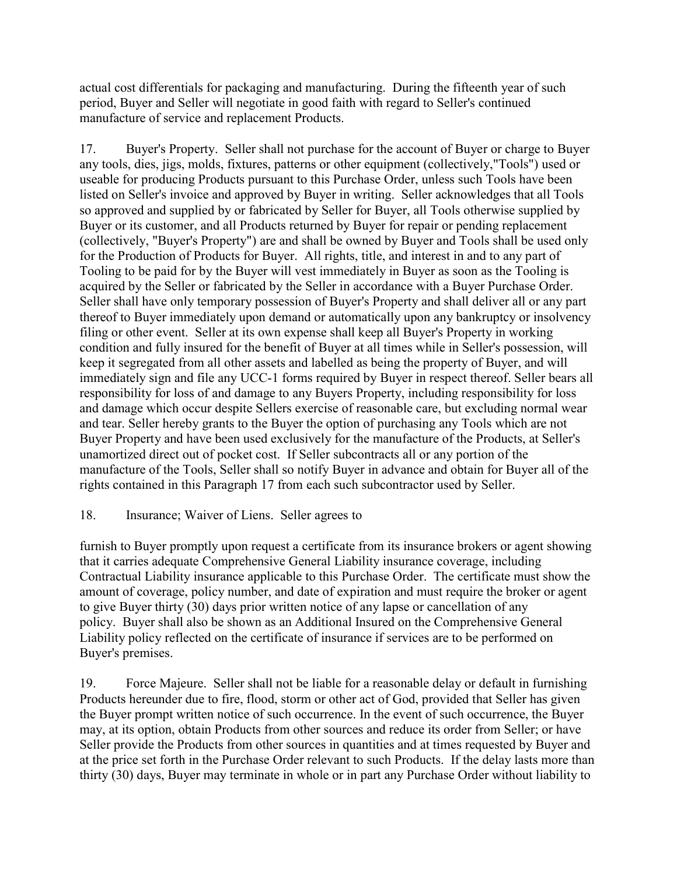actual cost differentials for packaging and manufacturing. During the fifteenth year of such period, Buyer and Seller will negotiate in good faith with regard to Seller's continued manufacture of service and replacement Products.

17. Buyer's Property. Seller shall not purchase for the account of Buyer or charge to Buyer any tools, dies, jigs, molds, fixtures, patterns or other equipment (collectively,"Tools") used or useable for producing Products pursuant to this Purchase Order, unless such Tools have been listed on Seller's invoice and approved by Buyer in writing. Seller acknowledges that all Tools so approved and supplied by or fabricated by Seller for Buyer, all Tools otherwise supplied by Buyer or its customer, and all Products returned by Buyer for repair or pending replacement (collectively, "Buyer's Property") are and shall be owned by Buyer and Tools shall be used only for the Production of Products for Buyer. All rights, title, and interest in and to any part of Tooling to be paid for by the Buyer will vest immediately in Buyer as soon as the Tooling is acquired by the Seller or fabricated by the Seller in accordance with a Buyer Purchase Order. Seller shall have only temporary possession of Buyer's Property and shall deliver all or any part thereof to Buyer immediately upon demand or automatically upon any bankruptcy or insolvency filing or other event. Seller at its own expense shall keep all Buyer's Property in working condition and fully insured for the benefit of Buyer at all times while in Seller's possession, will keep it segregated from all other assets and labelled as being the property of Buyer, and will immediately sign and file any UCC-1 forms required by Buyer in respect thereof. Seller bears all responsibility for loss of and damage to any Buyers Property, including responsibility for loss and damage which occur despite Sellers exercise of reasonable care, but excluding normal wear and tear. Seller hereby grants to the Buyer the option of purchasing any Tools which are not Buyer Property and have been used exclusively for the manufacture of the Products, at Seller's unamortized direct out of pocket cost. If Seller subcontracts all or any portion of the manufacture of the Tools, Seller shall so notify Buyer in advance and obtain for Buyer all of the rights contained in this Paragraph 17 from each such subcontractor used by Seller.

### 18. Insurance; Waiver of Liens. Seller agrees to

furnish to Buyer promptly upon request a certificate from its insurance brokers or agent showing that it carries adequate Comprehensive General Liability insurance coverage, including Contractual Liability insurance applicable to this Purchase Order. The certificate must show the amount of coverage, policy number, and date of expiration and must require the broker or agent to give Buyer thirty (30) days prior written notice of any lapse or cancellation of any policy. Buyer shall also be shown as an Additional Insured on the Comprehensive General Liability policy reflected on the certificate of insurance if services are to be performed on Buyer's premises.

19. Force Majeure. Seller shall not be liable for a reasonable delay or default in furnishing Products hereunder due to fire, flood, storm or other act of God, provided that Seller has given the Buyer prompt written notice of such occurrence. In the event of such occurrence, the Buyer may, at its option, obtain Products from other sources and reduce its order from Seller; or have Seller provide the Products from other sources in quantities and at times requested by Buyer and at the price set forth in the Purchase Order relevant to such Products. If the delay lasts more than thirty (30) days, Buyer may terminate in whole or in part any Purchase Order without liability to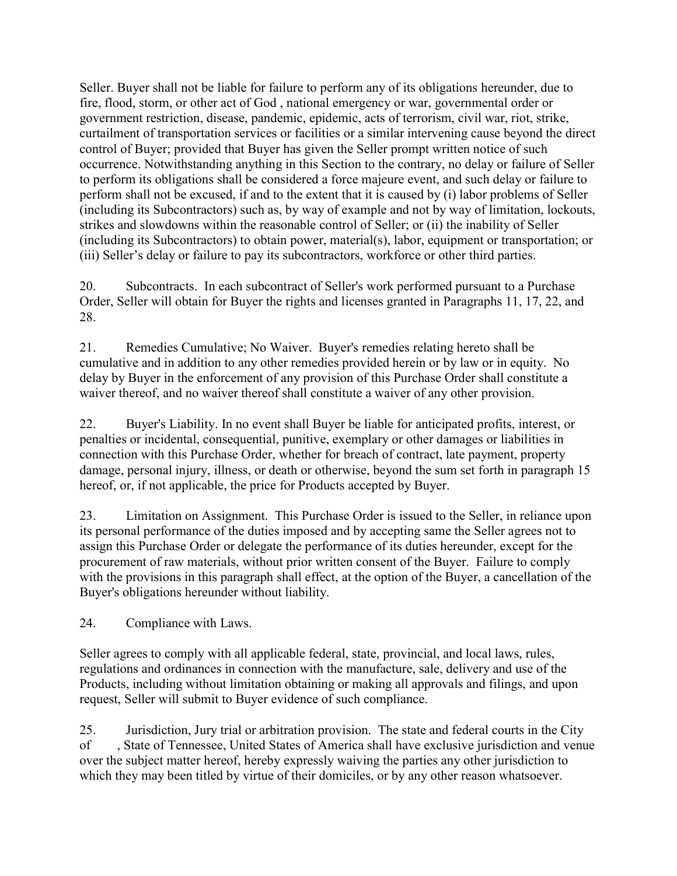Seller. Buyer shall not be liable for failure to perform any of its obligations hereunder, due to fire, flood, storm, or other act of God , national emergency or war, governmental order or government restriction, disease, pandemic, epidemic, acts of terrorism, civil war, riot, strike, curtailment of transportation services or facilities or a similar intervening cause beyond the direct control of Buyer; provided that Buyer has given the Seller prompt written notice of such occurrence. Notwithstanding anything in this Section to the contrary, no delay or failure of Seller to perform its obligations shall be considered a force majeure event, and such delay or failure to perform shall not be excused, if and to the extent that it is caused by (i) labor problems of Seller (including its Subcontractors) such as, by way of example and not by way of limitation, lockouts, strikes and slowdowns within the reasonable control of Seller; or (ii) the inability of Seller (including its Subcontractors) to obtain power, material(s), labor, equipment or transportation; or (iii) Seller's delay or failure to pay its subcontractors, workforce or other third parties.

20. Subcontracts. In each subcontract of Seller's work performed pursuant to a Purchase Order, Seller will obtain for Buyer the rights and licenses granted in Paragraphs 11, 17, 22, and 28.

21. Remedies Cumulative; No Waiver. Buyer's remedies relating hereto shall be cumulative and in addition to any other remedies provided herein or by law or in equity. No delay by Buyer in the enforcement of any provision of this Purchase Order shall constitute a waiver thereof, and no waiver thereof shall constitute a waiver of any other provision.

22. Buyer's Liability. In no event shall Buyer be liable for anticipated profits, interest, or penalties or incidental, consequential, punitive, exemplary or other damages or liabilities in connection with this Purchase Order, whether for breach of contract, late payment, property damage, personal injury, illness, or death or otherwise, beyond the sum set forth in paragraph 15 hereof, or, if not applicable, the price for Products accepted by Buyer.

23. Limitation on Assignment. This Purchase Order is issued to the Seller, in reliance upon its personal performance of the duties imposed and by accepting same the Seller agrees not to assign this Purchase Order or delegate the performance of its duties hereunder, except for the procurement of raw materials, without prior written consent of the Buyer. Failure to comply with the provisions in this paragraph shall effect, at the option of the Buyer, a cancellation of the Buyer's obligations hereunder without liability.

24. Compliance with Laws.

Seller agrees to comply with all applicable federal, state, provincial, and local laws, rules, regulations and ordinances in connection with the manufacture, sale, delivery and use of the Products, including without limitation obtaining or making all approvals and filings, and upon request, Seller will submit to Buyer evidence of such compliance.

25. Jurisdiction, Jury trial or arbitration provision. The state and federal courts in the City of , State of Tennessee, United States of America shall have exclusive jurisdiction and venue over the subject matter hereof, hereby expressly waiving the parties any other jurisdiction to which they may been titled by virtue of their domiciles, or by any other reason whatsoever.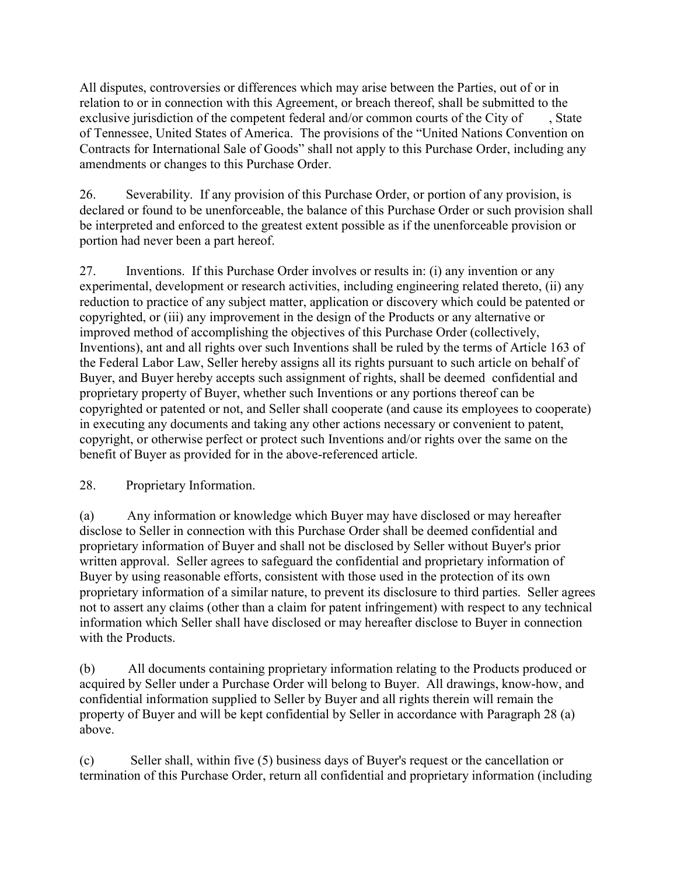All disputes, controversies or differences which may arise between the Parties, out of or in relation to or in connection with this Agreement, or breach thereof, shall be submitted to the exclusive jurisdiction of the competent federal and/or common courts of the City of, State of Tennessee, United States of America. The provisions of the "United Nations Convention on Contracts for International Sale of Goods" shall not apply to this Purchase Order, including any amendments or changes to this Purchase Order.

26. Severability. If any provision of this Purchase Order, or portion of any provision, is declared or found to be unenforceable, the balance of this Purchase Order or such provision shall be interpreted and enforced to the greatest extent possible as if the unenforceable provision or portion had never been a part hereof.

27. Inventions. If this Purchase Order involves or results in: (i) any invention or any experimental, development or research activities, including engineering related thereto, (ii) any reduction to practice of any subject matter, application or discovery which could be patented or copyrighted, or (iii) any improvement in the design of the Products or any alternative or improved method of accomplishing the objectives of this Purchase Order (collectively, Inventions), ant and all rights over such Inventions shall be ruled by the terms of Article 163 of the Federal Labor Law, Seller hereby assigns all its rights pursuant to such article on behalf of Buyer, and Buyer hereby accepts such assignment of rights, shall be deemed confidential and proprietary property of Buyer, whether such Inventions or any portions thereof can be copyrighted or patented or not, and Seller shall cooperate (and cause its employees to cooperate) in executing any documents and taking any other actions necessary or convenient to patent, copyright, or otherwise perfect or protect such Inventions and/or rights over the same on the benefit of Buyer as provided for in the above-referenced article.

### 28. Proprietary Information.

(a) Any information or knowledge which Buyer may have disclosed or may hereafter disclose to Seller in connection with this Purchase Order shall be deemed confidential and proprietary information of Buyer and shall not be disclosed by Seller without Buyer's prior written approval. Seller agrees to safeguard the confidential and proprietary information of Buyer by using reasonable efforts, consistent with those used in the protection of its own proprietary information of a similar nature, to prevent its disclosure to third parties. Seller agrees not to assert any claims (other than a claim for patent infringement) with respect to any technical information which Seller shall have disclosed or may hereafter disclose to Buyer in connection with the Products.

(b) All documents containing proprietary information relating to the Products produced or acquired by Seller under a Purchase Order will belong to Buyer. All drawings, know-how, and confidential information supplied to Seller by Buyer and all rights therein will remain the property of Buyer and will be kept confidential by Seller in accordance with Paragraph 28 (a) above.

(c) Seller shall, within five (5) business days of Buyer's request or the cancellation or termination of this Purchase Order, return all confidential and proprietary information (including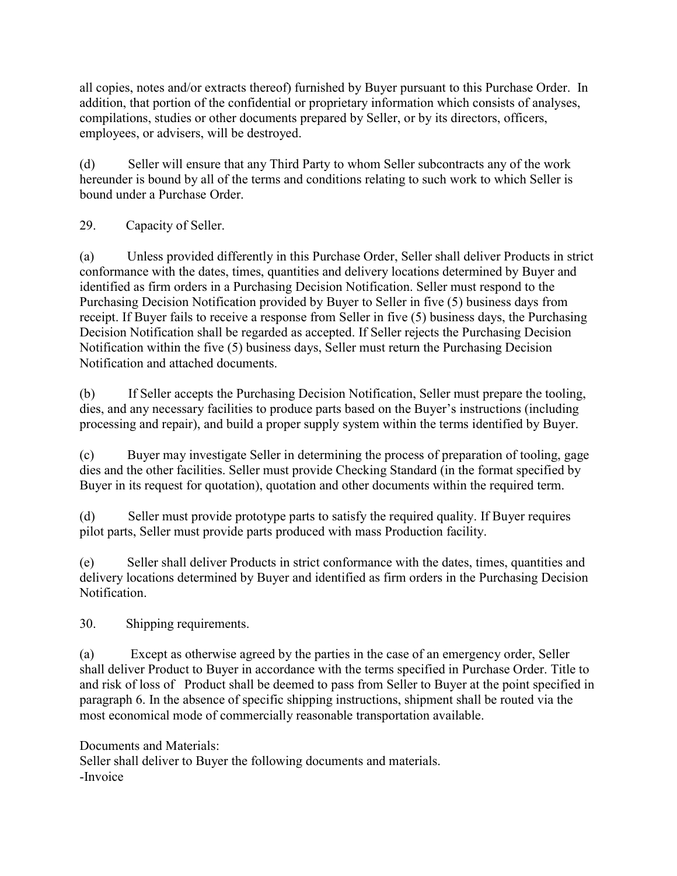all copies, notes and/or extracts thereof) furnished by Buyer pursuant to this Purchase Order. In addition, that portion of the confidential or proprietary information which consists of analyses, compilations, studies or other documents prepared by Seller, or by its directors, officers, employees, or advisers, will be destroyed.

(d) Seller will ensure that any Third Party to whom Seller subcontracts any of the work hereunder is bound by all of the terms and conditions relating to such work to which Seller is bound under a Purchase Order.

## 29. Capacity of Seller.

(a) Unless provided differently in this Purchase Order, Seller shall deliver Products in strict conformance with the dates, times, quantities and delivery locations determined by Buyer and identified as firm orders in a Purchasing Decision Notification. Seller must respond to the Purchasing Decision Notification provided by Buyer to Seller in five (5) business days from receipt. If Buyer fails to receive a response from Seller in five (5) business days, the Purchasing Decision Notification shall be regarded as accepted. If Seller rejects the Purchasing Decision Notification within the five (5) business days, Seller must return the Purchasing Decision Notification and attached documents.

(b) If Seller accepts the Purchasing Decision Notification, Seller must prepare the tooling, dies, and any necessary facilities to produce parts based on the Buyer's instructions (including processing and repair), and build a proper supply system within the terms identified by Buyer.

(c) Buyer may investigate Seller in determining the process of preparation of tooling, gage dies and the other facilities. Seller must provide Checking Standard (in the format specified by Buyer in its request for quotation), quotation and other documents within the required term.

(d) Seller must provide prototype parts to satisfy the required quality. If Buyer requires pilot parts, Seller must provide parts produced with mass Production facility.

(e) Seller shall deliver Products in strict conformance with the dates, times, quantities and delivery locations determined by Buyer and identified as firm orders in the Purchasing Decision Notification.

30. Shipping requirements.

(a) Except as otherwise agreed by the parties in the case of an emergency order, Seller shall deliver Product to Buyer in accordance with the terms specified in Purchase Order. Title to and risk of loss of Product shall be deemed to pass from Seller to Buyer at the point specified in paragraph 6. In the absence of specific shipping instructions, shipment shall be routed via the most economical mode of commercially reasonable transportation available.

Documents and Materials: Seller shall deliver to Buyer the following documents and materials. -Invoice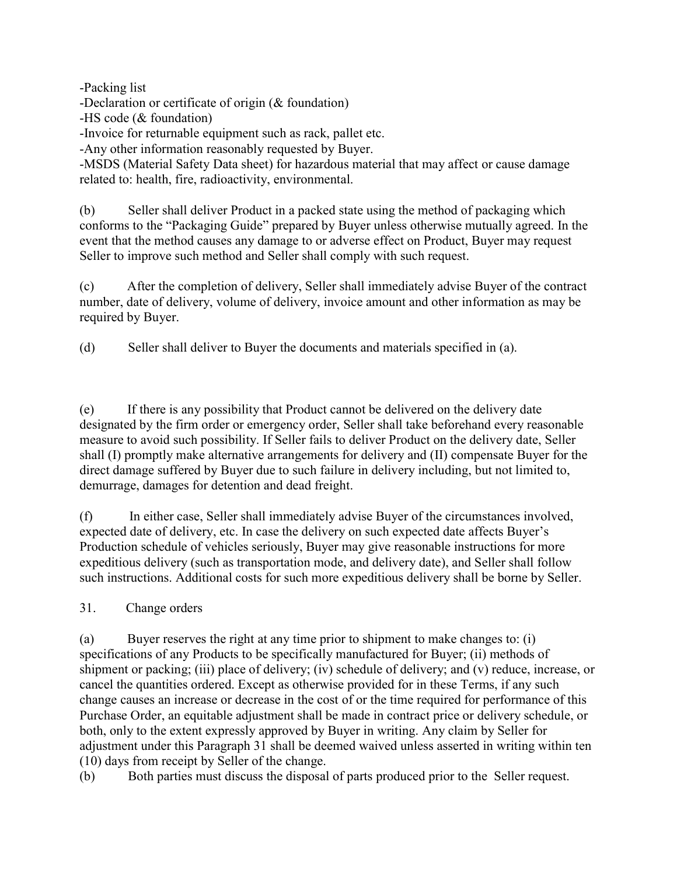-Packing list

-Declaration or certificate of origin (& foundation)

-HS code (& foundation)

-Invoice for returnable equipment such as rack, pallet etc.

-Any other information reasonably requested by Buyer.

-MSDS (Material Safety Data sheet) for hazardous material that may affect or cause damage related to: health, fire, radioactivity, environmental.

(b) Seller shall deliver Product in a packed state using the method of packaging which conforms to the "Packaging Guide" prepared by Buyer unless otherwise mutually agreed. In the event that the method causes any damage to or adverse effect on Product, Buyer may request Seller to improve such method and Seller shall comply with such request.

(c) After the completion of delivery, Seller shall immediately advise Buyer of the contract number, date of delivery, volume of delivery, invoice amount and other information as may be required by Buyer.

(d) Seller shall deliver to Buyer the documents and materials specified in (a).

(e) If there is any possibility that Product cannot be delivered on the delivery date designated by the firm order or emergency order, Seller shall take beforehand every reasonable measure to avoid such possibility. If Seller fails to deliver Product on the delivery date, Seller shall (I) promptly make alternative arrangements for delivery and (II) compensate Buyer for the direct damage suffered by Buyer due to such failure in delivery including, but not limited to, demurrage, damages for detention and dead freight.

(f) In either case, Seller shall immediately advise Buyer of the circumstances involved, expected date of delivery, etc. In case the delivery on such expected date affects Buyer's Production schedule of vehicles seriously, Buyer may give reasonable instructions for more expeditious delivery (such as transportation mode, and delivery date), and Seller shall follow such instructions. Additional costs for such more expeditious delivery shall be borne by Seller.

31. Change orders

(a) Buyer reserves the right at any time prior to shipment to make changes to: (i) specifications of any Products to be specifically manufactured for Buyer; (ii) methods of shipment or packing; (iii) place of delivery; (iv) schedule of delivery; and (v) reduce, increase, or cancel the quantities ordered. Except as otherwise provided for in these Terms, if any such change causes an increase or decrease in the cost of or the time required for performance of this Purchase Order, an equitable adjustment shall be made in contract price or delivery schedule, or both, only to the extent expressly approved by Buyer in writing. Any claim by Seller for adjustment under this Paragraph 31 shall be deemed waived unless asserted in writing within ten (10) days from receipt by Seller of the change.

(b) Both parties must discuss the disposal of parts produced prior to the Seller request.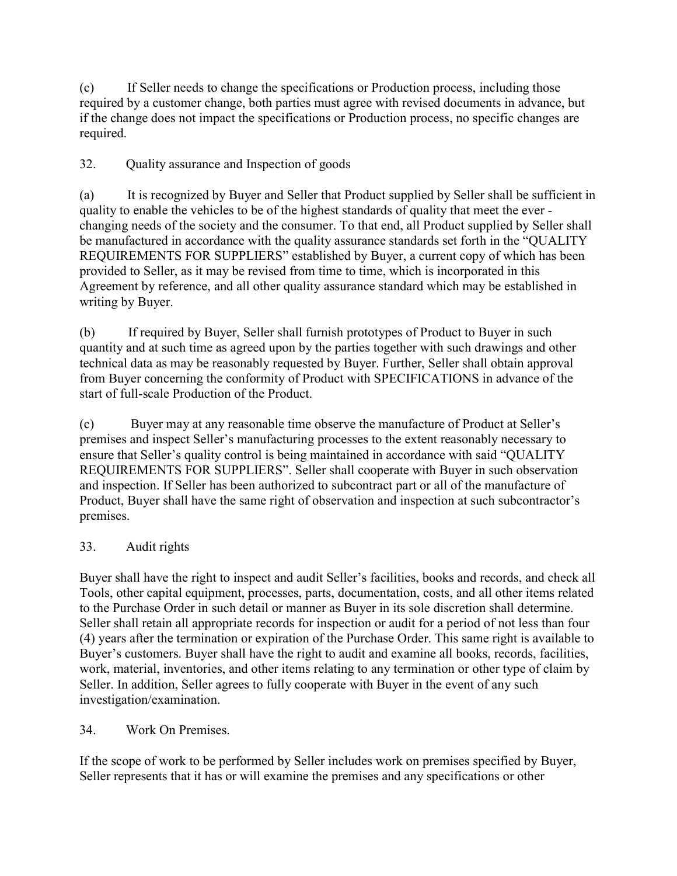(c) If Seller needs to change the specifications or Production process, including those required by a customer change, both parties must agree with revised documents in advance, but if the change does not impact the specifications or Production process, no specific changes are required.

# 32. Quality assurance and Inspection of goods

(a) It is recognized by Buyer and Seller that Product supplied by Seller shall be sufficient in quality to enable the vehicles to be of the highest standards of quality that meet the ever changing needs of the society and the consumer. To that end, all Product supplied by Seller shall be manufactured in accordance with the quality assurance standards set forth in the "QUALITY REQUIREMENTS FOR SUPPLIERS" established by Buyer, a current copy of which has been provided to Seller, as it may be revised from time to time, which is incorporated in this Agreement by reference, and all other quality assurance standard which may be established in writing by Buyer.

(b) If required by Buyer, Seller shall furnish prototypes of Product to Buyer in such quantity and at such time as agreed upon by the parties together with such drawings and other technical data as may be reasonably requested by Buyer. Further, Seller shall obtain approval from Buyer concerning the conformity of Product with SPECIFICATIONS in advance of the start of full-scale Production of the Product.

(c) Buyer may at any reasonable time observe the manufacture of Product at Seller's premises and inspect Seller's manufacturing processes to the extent reasonably necessary to ensure that Seller's quality control is being maintained in accordance with said "QUALITY REQUIREMENTS FOR SUPPLIERS". Seller shall cooperate with Buyer in such observation and inspection. If Seller has been authorized to subcontract part or all of the manufacture of Product, Buyer shall have the same right of observation and inspection at such subcontractor's premises.

### 33. Audit rights

Buyer shall have the right to inspect and audit Seller's facilities, books and records, and check all Tools, other capital equipment, processes, parts, documentation, costs, and all other items related to the Purchase Order in such detail or manner as Buyer in its sole discretion shall determine. Seller shall retain all appropriate records for inspection or audit for a period of not less than four (4) years after the termination or expiration of the Purchase Order. This same right is available to Buyer's customers. Buyer shall have the right to audit and examine all books, records, facilities, work, material, inventories, and other items relating to any termination or other type of claim by Seller. In addition, Seller agrees to fully cooperate with Buyer in the event of any such investigation/examination.

### 34. Work On Premises.

If the scope of work to be performed by Seller includes work on premises specified by Buyer, Seller represents that it has or will examine the premises and any specifications or other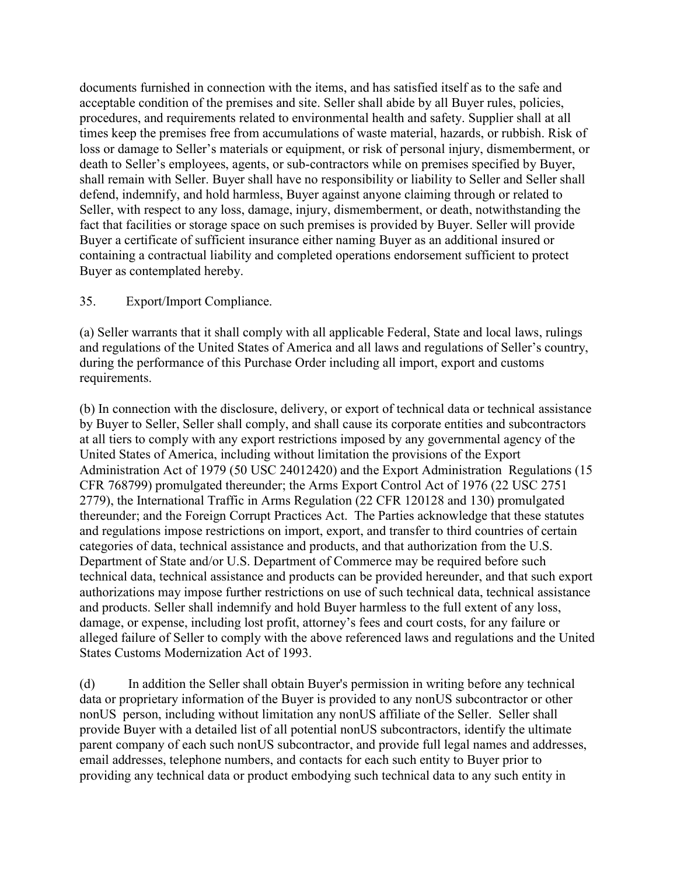documents furnished in connection with the items, and has satisfied itself as to the safe and acceptable condition of the premises and site. Seller shall abide by all Buyer rules, policies, procedures, and requirements related to environmental health and safety. Supplier shall at all times keep the premises free from accumulations of waste material, hazards, or rubbish. Risk of loss or damage to Seller's materials or equipment, or risk of personal injury, dismemberment, or death to Seller's employees, agents, or sub-contractors while on premises specified by Buyer, shall remain with Seller. Buyer shall have no responsibility or liability to Seller and Seller shall defend, indemnify, and hold harmless, Buyer against anyone claiming through or related to Seller, with respect to any loss, damage, injury, dismemberment, or death, notwithstanding the fact that facilities or storage space on such premises is provided by Buyer. Seller will provide Buyer a certificate of sufficient insurance either naming Buyer as an additional insured or containing a contractual liability and completed operations endorsement sufficient to protect Buyer as contemplated hereby.

#### 35. Export/Import Compliance.

(a) Seller warrants that it shall comply with all applicable Federal, State and local laws, rulings and regulations of the United States of America and all laws and regulations of Seller's country, during the performance of this Purchase Order including all import, export and customs requirements.

(b) In connection with the disclosure, delivery, or export of technical data or technical assistance by Buyer to Seller, Seller shall comply, and shall cause its corporate entities and subcontractors at all tiers to comply with any export restrictions imposed by any governmental agency of the United States of America, including without limitation the provisions of the Export Administration Act of 1979 (50 USC 24012420) and the Export Administration Regulations (15 CFR 768799) promulgated thereunder; the Arms Export Control Act of 1976 (22 USC 2751 2779), the International Traffic in Arms Regulation (22 CFR 120128 and 130) promulgated thereunder; and the Foreign Corrupt Practices Act. The Parties acknowledge that these statutes and regulations impose restrictions on import, export, and transfer to third countries of certain categories of data, technical assistance and products, and that authorization from the U.S. Department of State and/or U.S. Department of Commerce may be required before such technical data, technical assistance and products can be provided hereunder, and that such export authorizations may impose further restrictions on use of such technical data, technical assistance and products. Seller shall indemnify and hold Buyer harmless to the full extent of any loss, damage, or expense, including lost profit, attorney's fees and court costs, for any failure or alleged failure of Seller to comply with the above referenced laws and regulations and the United States Customs Modernization Act of 1993.

(d) In addition the Seller shall obtain Buyer's permission in writing before any technical data or proprietary information of the Buyer is provided to any nonUS subcontractor or other nonUS person, including without limitation any nonUS affiliate of the Seller. Seller shall provide Buyer with a detailed list of all potential nonUS subcontractors, identify the ultimate parent company of each such nonUS subcontractor, and provide full legal names and addresses, email addresses, telephone numbers, and contacts for each such entity to Buyer prior to providing any technical data or product embodying such technical data to any such entity in